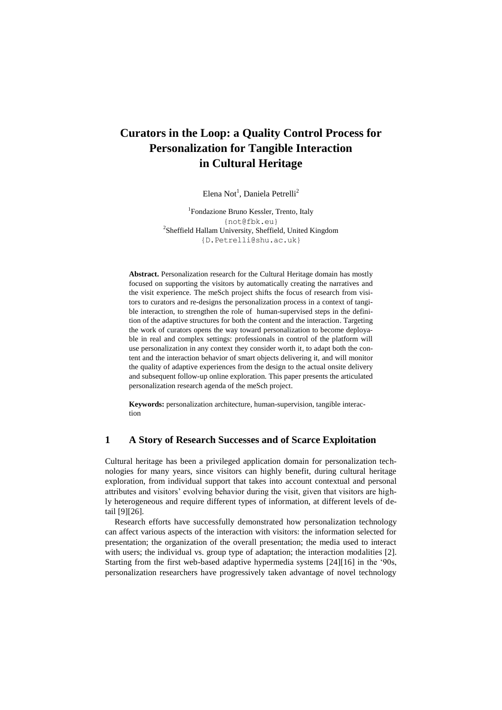# **Curators in the Loop: a Quality Control Process for Personalization for Tangible Interaction in Cultural Heritage**

Elena Not<sup>1</sup>, Daniela Petrelli<sup>2</sup>

<sup>1</sup>Fondazione Bruno Kessler, Trento, Italy [{not@fbk.eu}](mailto:%7bnot@fbk.eu%7d) <sup>2</sup>Sheffield Hallam University, Sheffield, United Kingdom [{D.Petrelli@shu.ac.uk}](mailto:%7bD.Petrelli@shu.ac.uk%7d)

**Abstract.** Personalization research for the Cultural Heritage domain has mostly focused on supporting the visitors by automatically creating the narratives and the visit experience. The meSch project shifts the focus of research from visitors to curators and re-designs the personalization process in a context of tangible interaction, to strengthen the role of human-supervised steps in the definition of the adaptive structures for both the content and the interaction. Targeting the work of curators opens the way toward personalization to become deployable in real and complex settings: professionals in control of the platform will use personalization in any context they consider worth it, to adapt both the content and the interaction behavior of smart objects delivering it, and will monitor the quality of adaptive experiences from the design to the actual onsite delivery and subsequent follow-up online exploration. This paper presents the articulated personalization research agenda of the meSch project.

**Keywords:** personalization architecture, human-supervision, tangible interaction

# **1 A Story of Research Successes and of Scarce Exploitation**

Cultural heritage has been a privileged application domain for personalization technologies for many years, since visitors can highly benefit, during cultural heritage exploration, from individual support that takes into account contextual and personal attributes and visitors' evolving behavior during the visit, given that visitors are highly heterogeneous and require different types of information, at different levels of detail [\[9\]](#page-10-0)[\[26\]](#page-11-0).

Research efforts have successfully demonstrated how personalization technology can affect various aspects of the interaction with visitors: the information selected for presentation; the organization of the overall presentation; the media used to interact with users; the individual vs. group type of adaptation; the interaction modalities [\[2\]](#page-9-0). Starting from the first web-based adaptive hypermedia systems [\[24\]](#page-11-1)[\[16\]](#page-10-1) in the '90s, personalization researchers have progressively taken advantage of novel technology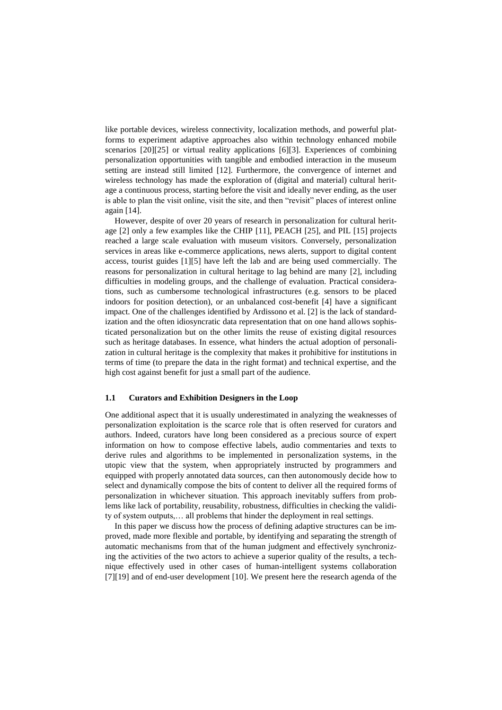like portable devices, wireless connectivity, localization methods, and powerful platforms to experiment adaptive approaches also within technology enhanced mobile scenarios [\[20\]](#page-11-2)[\[25\]](#page-11-3) or virtual reality applications [\[6\]](#page-10-2)[\[3\]](#page-10-3). Experiences of combining personalization opportunities with tangible and embodied interaction in the museum setting are instead still limited [\[12\]](#page-10-4). Furthermore, the convergence of internet and wireless technology has made the exploration of (digital and material) cultural heritage a continuous process, starting before the visit and ideally never ending, as the user is able to plan the visit online, visit the site, and then "revisit" places of interest online again [\[14\]](#page-10-5).

However, despite of over 20 years of research in personalization for cultural heritage [\[2\]](#page-9-0) only a few examples like the CHIP [\[11\]](#page-10-6), PEACH [\[25\]](#page-11-3), and PIL [\[15\]](#page-10-7) projects reached a large scale evaluation with museum visitors. Conversely, personalization services in areas like e-commerce applications, news alerts, support to digital content access, tourist guides [\[1\]](#page-9-1)[\[5\]](#page-10-8) have left the lab and are being used commercially. The reasons for personalization in cultural heritage to lag behind are many [\[2\]](#page-9-0), including difficulties in modeling groups, and the challenge of evaluation. Practical considerations, such as cumbersome technological infrastructures (e.g. sensors to be placed indoors for position detection), or an unbalanced cost-benefit [\[4\]](#page-10-9) have a significant impact. One of the challenges identified by Ardissono et al. [2] is the lack of standardization and the often idiosyncratic data representation that on one hand allows sophisticated personalization but on the other limits the reuse of existing digital resources such as heritage databases. In essence, what hinders the actual adoption of personalization in cultural heritage is the complexity that makes it prohibitive for institutions in terms of time (to prepare the data in the right format) and technical expertise, and the high cost against benefit for just a small part of the audience.

#### **1.1 Curators and Exhibition Designers in the Loop**

One additional aspect that it is usually underestimated in analyzing the weaknesses of personalization exploitation is the scarce role that is often reserved for curators and authors. Indeed, curators have long been considered as a precious source of expert information on how to compose effective labels, audio commentaries and texts to derive rules and algorithms to be implemented in personalization systems, in the utopic view that the system, when appropriately instructed by programmers and equipped with properly annotated data sources, can then autonomously decide how to select and dynamically compose the bits of content to deliver all the required forms of personalization in whichever situation. This approach inevitably suffers from problems like lack of portability, reusability, robustness, difficulties in checking the validity of system outputs,… all problems that hinder the deployment in real settings.

In this paper we discuss how the process of defining adaptive structures can be improved, made more flexible and portable, by identifying and separating the strength of automatic mechanisms from that of the human judgment and effectively synchronizing the activities of the two actors to achieve a superior quality of the results, a technique effectively used in other cases of human-intelligent systems collaboration [\[7\]](#page-10-10)[\[19\]](#page-10-11) and of end-user development [10]. We present here the research agenda of the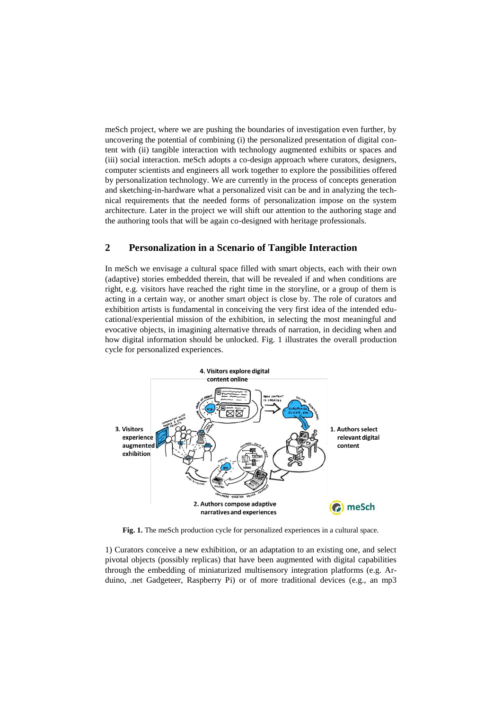meSch project, where we are pushing the boundaries of investigation even further, by uncovering the potential of combining (i) the personalized presentation of digital content with (ii) tangible interaction with technology augmented exhibits or spaces and (iii) social interaction. meSch adopts a co-design approach where curators, designers, computer scientists and engineers all work together to explore the possibilities offered by personalization technology. We are currently in the process of concepts generation and sketching-in-hardware what a personalized visit can be and in analyzing the technical requirements that the needed forms of personalization impose on the system architecture. Later in the project we will shift our attention to the authoring stage and the authoring tools that will be again co-designed with heritage professionals.

# **2 Personalization in a Scenario of Tangible Interaction**

In meSch we envisage a cultural space filled with smart objects, each with their own (adaptive) stories embedded therein, that will be revealed if and when conditions are right, e.g. visitors have reached the right time in the storyline, or a group of them is acting in a certain way, or another smart object is close by. The role of curators and exhibition artists is fundamental in conceiving the very first idea of the intended educational/experiential mission of the exhibition, in selecting the most meaningful and evocative objects, in imagining alternative threads of narration, in deciding when and how digital information should be unlocked. [Fig. 1](#page-2-0) illustrates the overall production cycle for personalized experiences.



<span id="page-2-0"></span>**Fig. 1.** The meSch production cycle for personalized experiences in a cultural space.

1) Curators conceive a new exhibition, or an adaptation to an existing one, and select pivotal objects (possibly replicas) that have been augmented with digital capabilities through the embedding of miniaturized multisensory integration platforms (e.g. Arduino, .net Gadgeteer, Raspberry Pi) or of more traditional devices (e.g., an mp3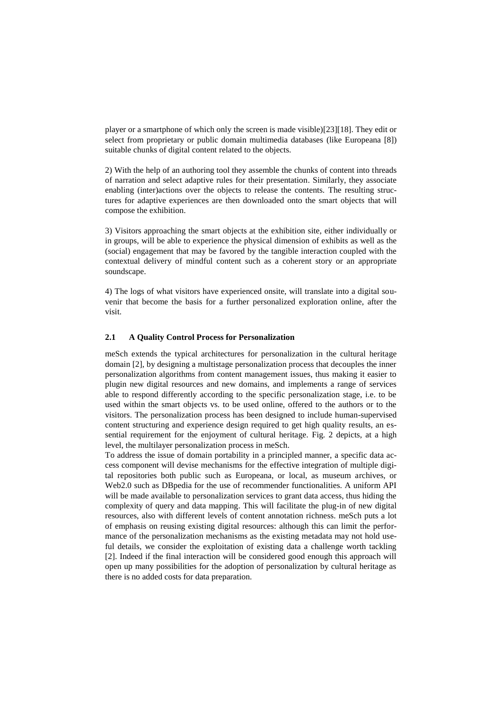player or a smartphone of which only the screen is made visible)[\[23\]](#page-11-4)[\[18\]](#page-10-12). They edit or select from proprietary or public domain multimedia databases (like Europeana [\[8\]](#page-10-13)) suitable chunks of digital content related to the objects.

2) With the help of an authoring tool they assemble the chunks of content into threads of narration and select adaptive rules for their presentation. Similarly, they associate enabling (inter)actions over the objects to release the contents. The resulting structures for adaptive experiences are then downloaded onto the smart objects that will compose the exhibition.

3) Visitors approaching the smart objects at the exhibition site, either individually or in groups, will be able to experience the physical dimension of exhibits as well as the (social) engagement that may be favored by the tangible interaction coupled with the contextual delivery of mindful content such as a coherent story or an appropriate soundscape.

4) The logs of what visitors have experienced onsite, will translate into a digital souvenir that become the basis for a further personalized exploration online, after the visit.

### **2.1 A Quality Control Process for Personalization**

meSch extends the typical architectures for personalization in the cultural heritage domain [\[2\]](#page-9-0), by designing a multistage personalization process that decouples the inner personalization algorithms from content management issues, thus making it easier to plugin new digital resources and new domains, and implements a range of services able to respond differently according to the specific personalization stage, i.e. to be used within the smart objects vs. to be used online, offered to the authors or to the visitors. The personalization process has been designed to include human-supervised content structuring and experience design required to get high quality results, an essential requirement for the enjoyment of cultural heritage. [Fig. 2](#page-4-0) depicts, at a high level, the multilayer personalization process in meSch.

To address the issue of domain portability in a principled manner, a specific data access component will devise mechanisms for the effective integration of multiple digital repositories both public such as Europeana, or local, as museum archives, or Web2.0 such as DBpedia for the use of recommender functionalities. A uniform API will be made available to personalization services to grant data access, thus hiding the complexity of query and data mapping. This will facilitate the plug-in of new digital resources, also with different levels of content annotation richness. meSch puts a lot of emphasis on reusing existing digital resources: although this can limit the performance of the personalization mechanisms as the existing metadata may not hold useful details, we consider the exploitation of existing data a challenge worth tackling [2]. Indeed if the final interaction will be considered good enough this approach will open up many possibilities for the adoption of personalization by cultural heritage as there is no added costs for data preparation.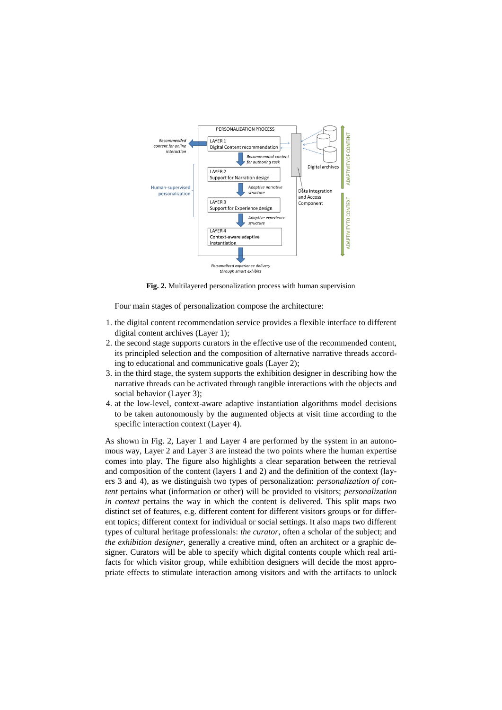

**Fig. 2.** Multilayered personalization process with human supervision

<span id="page-4-0"></span>Four main stages of personalization compose the architecture:

- 1. the digital content recommendation service provides a flexible interface to different digital content archives (Layer 1);
- 2. the second stage supports curators in the effective use of the recommended content, its principled selection and the composition of alternative narrative threads according to educational and communicative goals (Layer 2);
- 3. in the third stage, the system supports the exhibition designer in describing how the narrative threads can be activated through tangible interactions with the objects and social behavior (Layer 3);
- 4. at the low-level, context-aware adaptive instantiation algorithms model decisions to be taken autonomously by the augmented objects at visit time according to the specific interaction context (Layer 4).

As shown in Fig. 2, Layer 1 and Layer 4 are performed by the system in an autonomous way, Layer 2 and Layer 3 are instead the two points where the human expertise comes into play. The figure also highlights a clear separation between the retrieval and composition of the content (layers 1 and 2) and the definition of the context (layers 3 and 4), as we distinguish two types of personalization: *personalization of content* pertains what (information or other) will be provided to visitors; *personalization in context* pertains the way in which the content is delivered. This split maps two distinct set of features, e.g. different content for different visitors groups or for different topics; different context for individual or social settings. It also maps two different types of cultural heritage professionals: *the curator*, often a scholar of the subject; and *the exhibition designer*, generally a creative mind, often an architect or a graphic designer. Curators will be able to specify which digital contents couple which real artifacts for which visitor group, while exhibition designers will decide the most appropriate effects to stimulate interaction among visitors and with the artifacts to unlock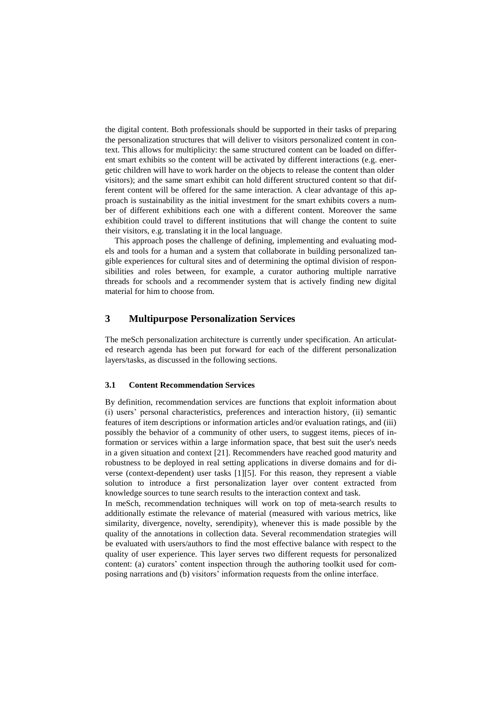the digital content. Both professionals should be supported in their tasks of preparing the personalization structures that will deliver to visitors personalized content in context. This allows for multiplicity: the same structured content can be loaded on different smart exhibits so the content will be activated by different interactions (e.g. energetic children will have to work harder on the objects to release the content than older visitors); and the same smart exhibit can hold different structured content so that different content will be offered for the same interaction. A clear advantage of this approach is sustainability as the initial investment for the smart exhibits covers a number of different exhibitions each one with a different content. Moreover the same exhibition could travel to different institutions that will change the content to suite their visitors, e.g. translating it in the local language.

This approach poses the challenge of defining, implementing and evaluating models and tools for a human and a system that collaborate in building personalized tangible experiences for cultural sites and of determining the optimal division of responsibilities and roles between, for example, a curator authoring multiple narrative threads for schools and a recommender system that is actively finding new digital material for him to choose from.

# **3 Multipurpose Personalization Services**

The meSch personalization architecture is currently under specification. An articulated research agenda has been put forward for each of the different personalization layers/tasks, as discussed in the following sections.

#### **3.1 Content Recommendation Services**

By definition, recommendation services are functions that exploit information about (i) users' personal characteristics, preferences and interaction history, (ii) semantic features of item descriptions or information articles and/or evaluation ratings, and (iii) possibly the behavior of a community of other users, to suggest items, pieces of information or services within a large information space, that best suit the user's needs in a given situation and context [\[21\]](#page-11-5). Recommenders have reached good maturity and robustness to be deployed in real setting applications in diverse domains and for diverse (context-dependent) user tasks [\[1\]](#page-9-1)[\[5\]](#page-10-8). For this reason, they represent a viable solution to introduce a first personalization layer over content extracted from knowledge sources to tune search results to the interaction context and task.

In meSch, recommendation techniques will work on top of meta-search results to additionally estimate the relevance of material (measured with various metrics, like similarity, divergence, novelty, serendipity), whenever this is made possible by the quality of the annotations in collection data. Several recommendation strategies will be evaluated with users/authors to find the most effective balance with respect to the quality of user experience. This layer serves two different requests for personalized content: (a) curators' content inspection through the authoring toolkit used for composing narrations and (b) visitors' information requests from the online interface.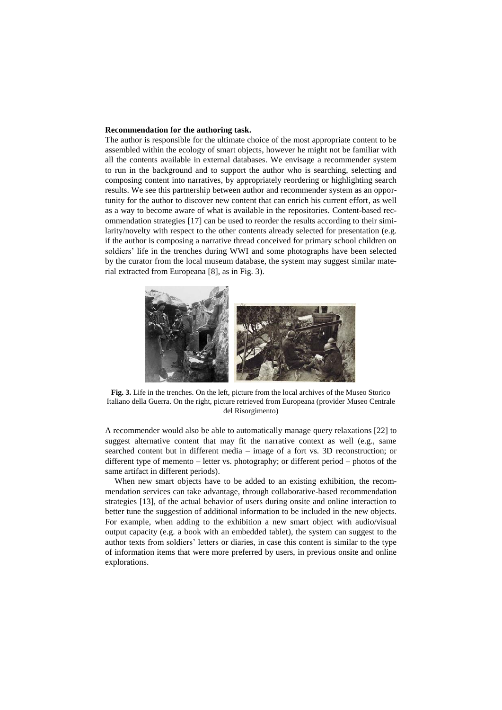#### **Recommendation for the authoring task.**

The author is responsible for the ultimate choice of the most appropriate content to be assembled within the ecology of smart objects, however he might not be familiar with all the contents available in external databases. We envisage a recommender system to run in the background and to support the author who is searching, selecting and composing content into narratives, by appropriately reordering or highlighting search results. We see this partnership between author and recommender system as an opportunity for the author to discover new content that can enrich his current effort, as well as a way to become aware of what is available in the repositories. Content-based recommendation strategies [\[17\]](#page-10-14) can be used to reorder the results according to their similarity/novelty with respect to the other contents already selected for presentation (e.g. if the author is composing a narrative thread conceived for primary school children on soldiers' life in the trenches during WWI and some photographs have been selected by the curator from the local museum database, the system may suggest similar material extracted from Europeana [\[8\]](#page-10-13), as i[n Fig. 3\)](#page-6-0).



**Fig. 3.** Life in the trenches. On the left, picture from the local archives of the Museo Storico Italiano della Guerra. On the right, picture retrieved from Europeana (provider Museo Centrale del Risorgimento)

<span id="page-6-0"></span>A recommender would also be able to automatically manage query relaxations [\[22\]](#page-11-6) to suggest alternative content that may fit the narrative context as well (e.g., same searched content but in different media – image of a fort vs. 3D reconstruction; or different type of memento – letter vs. photography; or different period – photos of the same artifact in different periods).

When new smart objects have to be added to an existing exhibition, the recommendation services can take advantage, through collaborative-based recommendation strategies [\[13\]](#page-10-15), of the actual behavior of users during onsite and online interaction to better tune the suggestion of additional information to be included in the new objects. For example, when adding to the exhibition a new smart object with audio/visual output capacity (e.g. a book with an embedded tablet), the system can suggest to the author texts from soldiers' letters or diaries, in case this content is similar to the type of information items that were more preferred by users, in previous onsite and online explorations.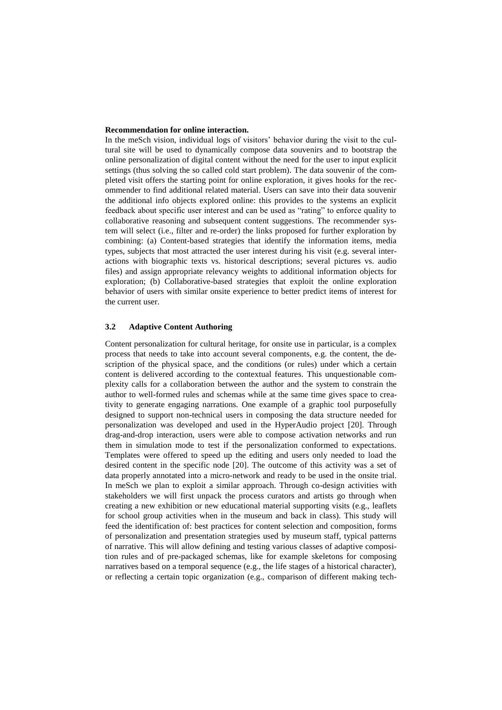#### **Recommendation for online interaction.**

In the meSch vision, individual logs of visitors' behavior during the visit to the cultural site will be used to dynamically compose data souvenirs and to bootstrap the online personalization of digital content without the need for the user to input explicit settings (thus solving the so called cold start problem). The data souvenir of the completed visit offers the starting point for online exploration, it gives hooks for the recommender to find additional related material. Users can save into their data souvenir the additional info objects explored online: this provides to the systems an explicit feedback about specific user interest and can be used as "rating" to enforce quality to collaborative reasoning and subsequent content suggestions. The recommender system will select (i.e., filter and re-order) the links proposed for further exploration by combining: (a) Content-based strategies that identify the information items, media types, subjects that most attracted the user interest during his visit (e.g. several interactions with biographic texts vs. historical descriptions; several pictures vs. audio files) and assign appropriate relevancy weights to additional information objects for exploration; (b) Collaborative-based strategies that exploit the online exploration behavior of users with similar onsite experience to better predict items of interest for the current user.

### **3.2 Adaptive Content Authoring**

Content personalization for cultural heritage, for onsite use in particular, is a complex process that needs to take into account several components, e.g. the content, the description of the physical space, and the conditions (or rules) under which a certain content is delivered according to the contextual features. This unquestionable complexity calls for a collaboration between the author and the system to constrain the author to well-formed rules and schemas while at the same time gives space to creativity to generate engaging narrations. One example of a graphic tool purposefully designed to support non-technical users in composing the data structure needed for personalization was developed and used in the HyperAudio project [\[20\]](#page-11-2). Through drag-and-drop interaction, users were able to compose activation networks and run them in simulation mode to test if the personalization conformed to expectations. Templates were offered to speed up the editing and users only needed to load the desired content in the specific node [\[20\]](#page-11-2). The outcome of this activity was a set of data properly annotated into a micro-network and ready to be used in the onsite trial. In meSch we plan to exploit a similar approach. Through co-design activities with stakeholders we will first unpack the process curators and artists go through when creating a new exhibition or new educational material supporting visits (e.g., leaflets for school group activities when in the museum and back in class). This study will feed the identification of: best practices for content selection and composition, forms of personalization and presentation strategies used by museum staff, typical patterns of narrative. This will allow defining and testing various classes of adaptive composition rules and of pre-packaged schemas, like for example skeletons for composing narratives based on a temporal sequence (e.g., the life stages of a historical character), or reflecting a certain topic organization (e.g., comparison of different making tech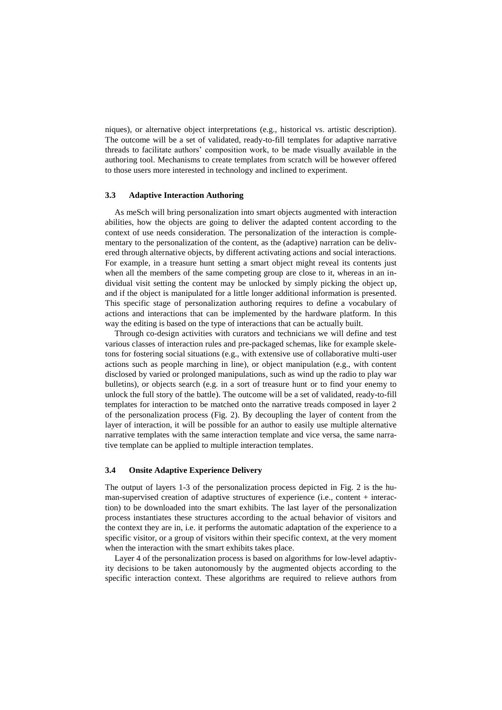niques), or alternative object interpretations (e.g., historical vs. artistic description). The outcome will be a set of validated, ready-to-fill templates for adaptive narrative threads to facilitate authors' composition work, to be made visually available in the authoring tool. Mechanisms to create templates from scratch will be however offered to those users more interested in technology and inclined to experiment.

#### **3.3 Adaptive Interaction Authoring**

As meSch will bring personalization into smart objects augmented with interaction abilities, how the objects are going to deliver the adapted content according to the context of use needs consideration. The personalization of the interaction is complementary to the personalization of the content, as the (adaptive) narration can be delivered through alternative objects, by different activating actions and social interactions. For example, in a treasure hunt setting a smart object might reveal its contents just when all the members of the same competing group are close to it, whereas in an individual visit setting the content may be unlocked by simply picking the object up, and if the object is manipulated for a little longer additional information is presented. This specific stage of personalization authoring requires to define a vocabulary of actions and interactions that can be implemented by the hardware platform. In this way the editing is based on the type of interactions that can be actually built.

Through co-design activities with curators and technicians we will define and test various classes of interaction rules and pre-packaged schemas, like for example skeletons for fostering social situations (e.g., with extensive use of collaborative multi-user actions such as people marching in line), or object manipulation (e.g., with content disclosed by varied or prolonged manipulations, such as wind up the radio to play war bulletins), or objects search (e.g. in a sort of treasure hunt or to find your enemy to unlock the full story of the battle). The outcome will be a set of validated, ready-to-fill templates for interaction to be matched onto the narrative treads composed in layer 2 of the personalization process [\(Fig. 2\)](#page-4-0). By decoupling the layer of content from the layer of interaction, it will be possible for an author to easily use multiple alternative narrative templates with the same interaction template and vice versa, the same narrative template can be applied to multiple interaction templates.

#### **3.4 Onsite Adaptive Experience Delivery**

The output of layers 1-3 of the personalization process depicted in [Fig. 2](#page-4-0) is the human-supervised creation of adaptive structures of experience (i.e., content + interaction) to be downloaded into the smart exhibits. The last layer of the personalization process instantiates these structures according to the actual behavior of visitors and the context they are in, i.e. it performs the automatic adaptation of the experience to a specific visitor, or a group of visitors within their specific context, at the very moment when the interaction with the smart exhibits takes place.

Layer 4 of the personalization process is based on algorithms for low-level adaptivity decisions to be taken autonomously by the augmented objects according to the specific interaction context. These algorithms are required to relieve authors from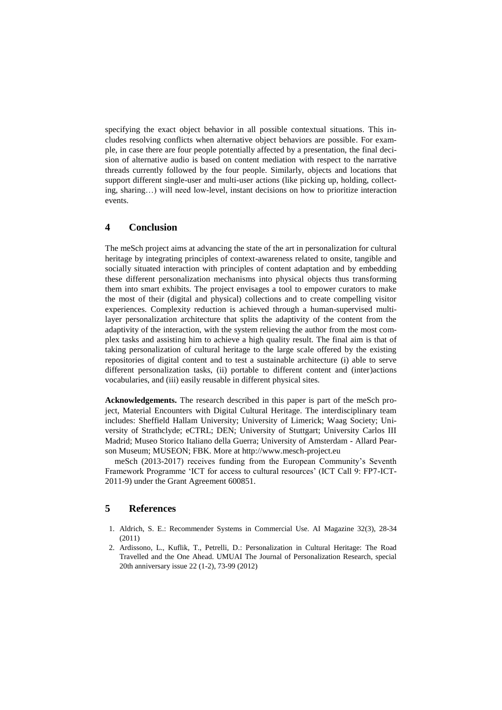specifying the exact object behavior in all possible contextual situations. This includes resolving conflicts when alternative object behaviors are possible. For example, in case there are four people potentially affected by a presentation, the final decision of alternative audio is based on content mediation with respect to the narrative threads currently followed by the four people. Similarly, objects and locations that support different single-user and multi-user actions (like picking up, holding, collecting, sharing…) will need low-level, instant decisions on how to prioritize interaction events.

## **4 Conclusion**

The meSch project aims at advancing the state of the art in personalization for cultural heritage by integrating principles of context-awareness related to onsite, tangible and socially situated interaction with principles of content adaptation and by embedding these different personalization mechanisms into physical objects thus transforming them into smart exhibits. The project envisages a tool to empower curators to make the most of their (digital and physical) collections and to create compelling visitor experiences. Complexity reduction is achieved through a human-supervised multilayer personalization architecture that splits the adaptivity of the content from the adaptivity of the interaction, with the system relieving the author from the most complex tasks and assisting him to achieve a high quality result. The final aim is that of taking personalization of cultural heritage to the large scale offered by the existing repositories of digital content and to test a sustainable architecture (i) able to serve different personalization tasks, (ii) portable to different content and (inter)actions vocabularies, and (iii) easily reusable in different physical sites.

**Acknowledgements.** The research described in this paper is part of the meSch project, Material Encounters with Digital Cultural Heritage. The interdisciplinary team includes: Sheffield Hallam University; University of Limerick; Waag Society; University of Strathclyde; eCTRL; DEN; University of Stuttgart; University Carlos III Madrid; Museo Storico Italiano della Guerra; University of Amsterdam - Allard Pearson Museum; MUSEON; FBK. More at http://www.mesch-project.eu

meSch (2013-2017) receives funding from the European Community's Seventh Framework Programme 'ICT for access to cultural resources' (ICT Call 9: FP7-ICT-2011-9) under the Grant Agreement 600851.

### **5 References**

- <span id="page-9-1"></span>1. Aldrich, S. E.: Recommender Systems in Commercial Use. AI Magazine 32(3), 28-34 (2011)
- <span id="page-9-0"></span>2. Ardissono, L., Kuflik, T., Petrelli, D.: Personalization in Cultural Heritage: The Road Travelled and the One Ahead. UMUAI The Journal of Personalization Research, special 20th anniversary issue 22 (1-2), 73-99 (2012)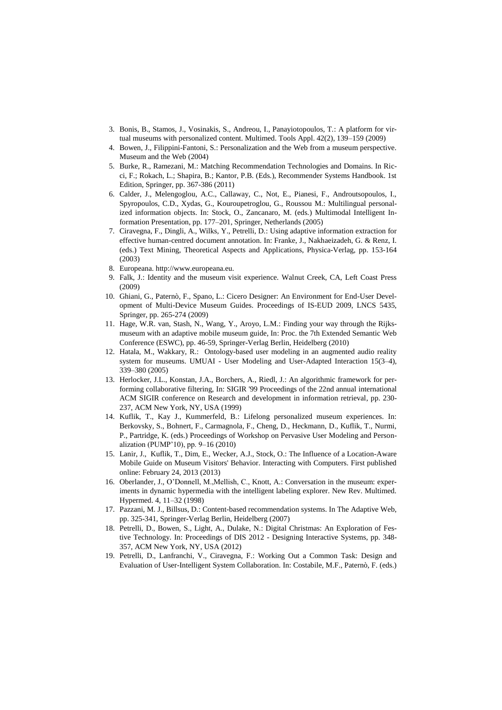- <span id="page-10-3"></span>3. Bonis, B., Stamos, J., Vosinakis, S., Andreou, I., Panayiotopoulos, T.: A platform for virtual museums with personalized content. Multimed. Tools Appl. 42(2), 139–159 (2009)
- <span id="page-10-9"></span>4. Bowen, J., Filippini-Fantoni, S.: Personalization and the Web from a museum perspective. Museum and the Web (2004)
- <span id="page-10-8"></span>5. Burke, R., Ramezani, M.: Matching Recommendation Technologies and Domains. In Ricci, F.; Rokach, L.; Shapira, B.; Kantor, P.B. (Eds.), Recommender Systems Handbook. 1st Edition, Springer, pp. 367-386 (2011)
- <span id="page-10-2"></span>6. Calder, J., Melengoglou, A.C., Callaway, C., Not, E., Pianesi, F., Androutsopoulos, I., Spyropoulos, C.D., Xydas, G., Kouroupetroglou, G., Roussou M.: Multilingual personalized information objects. In: Stock, O., Zancanaro, M. (eds.) Multimodal Intelligent Information Presentation, pp. 177–201, Springer, Netherlands (2005)
- <span id="page-10-10"></span>7. Ciravegna, F., Dingli, A., Wilks, Y., Petrelli, D.: Using adaptive information extraction for effective human-centred document annotation. In: Franke, J., Nakhaeizadeh, G. & Renz, I. (eds.) Text Mining, Theoretical Aspects and Applications, Physica-Verlag, pp. 153-164 (2003)
- <span id="page-10-13"></span>8. Europeana. http://www.europeana.eu.
- <span id="page-10-0"></span>9. Falk, J.: Identity and the museum visit experience. Walnut Creek, CA, Left Coast Press (2009)
- 10. Ghiani, G., Paternò, F., Spano, L.: Cicero Designer: An Environment for End-User Development of Multi-Device Museum Guides. Proceedings of IS-EUD 2009, LNCS 5435, Springer, pp. 265-274 (2009)
- <span id="page-10-6"></span>11. Hage, W.R. van, Stash, N., Wang, Y., Aroyo, L.M.: Finding your way through the Rijksmuseum with an adaptive mobile museum guide, In: Proc. the 7th Extended Semantic Web Conference (ESWC), pp. 46-59, Springer-Verlag Berlin, Heidelberg (2010)
- <span id="page-10-4"></span>12. Hatala, M., Wakkary, R.: Ontology-based user modeling in an augmented audio reality system for museums. UMUAI - User Modeling and User-Adapted Interaction 15(3–4), 339–380 (2005)
- <span id="page-10-15"></span>13. Herlocker, J.L., Konstan, J.A., Borchers, A., Riedl, J.: An algorithmic framework for performing collaborative filtering, In: SIGIR '99 Proceedings of the 22nd annual international ACM SIGIR conference on Research and development in information retrieval, pp. 230- 237, ACM New York, NY, USA (1999)
- <span id="page-10-5"></span>14. Kuflik, T., Kay J., Kummerfeld, B.: Lifelong personalized museum experiences. In: Berkovsky, S., Bohnert, F., Carmagnola, F., Cheng, D., Heckmann, D., Kuflik, T., Nurmi, P., Partridge, K. (eds.) Proceedings of Workshop on Pervasive User Modeling and Personalization (PUMP'10), pp. 9–16 (2010)
- <span id="page-10-7"></span>15. Lanir, J., Kuflik, T., Dim, E., Wecker, A.J., Stock, O.: The Influence of a Location-Aware Mobile Guide on Museum Visitors' Behavior. Interacting with Computers. First published online: February 24, 2013 (2013)
- <span id="page-10-1"></span>16. Oberlander, J., O'Donnell, M.,Mellish, C., Knott, A.: Conversation in the museum: experiments in dynamic hypermedia with the intelligent labeling explorer. New Rev. Multimed. Hypermed. 4, 11–32 (1998)
- <span id="page-10-14"></span>17. Pazzani, M. J., Billsus, D.: Content-based recommendation systems. In The Adaptive Web, pp. 325-341, Springer-Verlag Berlin, Heidelberg (2007)
- <span id="page-10-12"></span>18. Petrelli, D., Bowen, S., Light, A., Dulake, N.: Digital Christmas: An Exploration of Festive Technology. In: Proceedings of DIS 2012 - Designing Interactive Systems, pp. 348- 357, ACM New York, NY, USA (2012)
- <span id="page-10-11"></span>19. Petrelli, D., Lanfranchi, V., Ciravegna, F.: Working Out a Common Task: Design and Evaluation of User-Intelligent System Collaboration. In: Costabile, M.F., Paternò, F. (eds.)